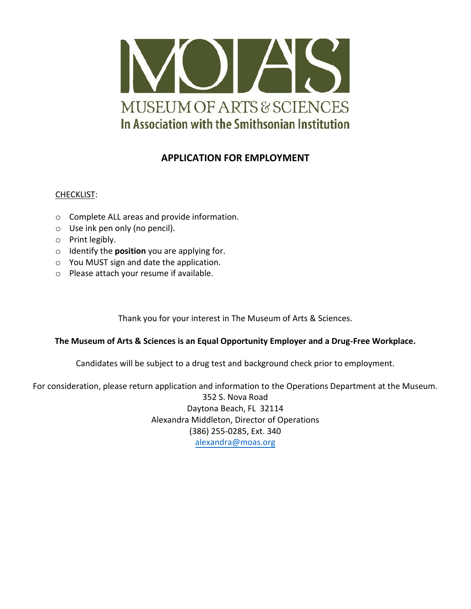

# **APPLICATION FOR EMPLOYMENT**

## CHECKLIST:

- o Complete ALL areas and provide information.
- o Use ink pen only (no pencil).
- o Print legibly.
- o Identify the **position** you are applying for.
- o You MUST sign and date the application.
- o Please attach your resume if available.

Thank you for your interest in The Museum of Arts & Sciences.

### **The Museum of Arts & Sciences is an Equal Opportunity Employer and a Drug-Free Workplace.**

Candidates will be subject to a drug test and background check prior to employment.

For consideration, please return application and information to the Operations Department at the Museum.

352 S. Nova Road Daytona Beach, FL 32114 Alexandra Middleton, Director of Operations (386) 255-0285, Ext. 340 [alexandra@moas.org](mailto:Stephanie@moas.org)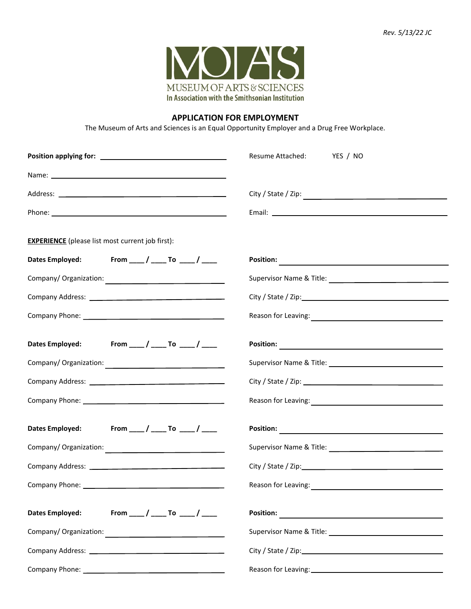

#### **APPLICATION FOR EMPLOYMENT**

The Museum of Arts and Sciences is an Equal Opportunity Employer and a Drug Free Workplace.

|                                                         | Resume Attached:<br>YES / NO                                                                                                                                                                                                           |
|---------------------------------------------------------|----------------------------------------------------------------------------------------------------------------------------------------------------------------------------------------------------------------------------------------|
|                                                         |                                                                                                                                                                                                                                        |
|                                                         |                                                                                                                                                                                                                                        |
|                                                         |                                                                                                                                                                                                                                        |
| <b>EXPERIENCE</b> (please list most current job first): |                                                                                                                                                                                                                                        |
| Dates Employed: From ___ / ___ To ___ / ___             | Position: New York Position of the Contract of the Contract of the Contract of the Contract of the Contract of the Contract of the Contract of the Contract of the Contract of the Contract of the Contract of the Contract of         |
|                                                         |                                                                                                                                                                                                                                        |
|                                                         |                                                                                                                                                                                                                                        |
|                                                         | Reason for Leaving:<br><u> and the contract of the contract of the contract of the contract of the contract of the contract of the contract of the contract of the contract of the contract of the contract of the contract of the</u> |
| Dates Employed: From ____ / ____ To ____ / ____         |                                                                                                                                                                                                                                        |
|                                                         |                                                                                                                                                                                                                                        |
|                                                         |                                                                                                                                                                                                                                        |
|                                                         |                                                                                                                                                                                                                                        |
| Dates Employed: From ____ / ____ To ____ / ____         |                                                                                                                                                                                                                                        |
|                                                         |                                                                                                                                                                                                                                        |
|                                                         |                                                                                                                                                                                                                                        |
|                                                         | Reason for Leaving: 1999. The Contract of the Contract of the Contract of the Contract of the Contract of the Contract of the Contract of the Contract of the Contract of the Contract of the Contract of the Contract of the          |
| From ___ / ____ To ____ / ___<br><b>Dates Employed:</b> |                                                                                                                                                                                                                                        |
|                                                         |                                                                                                                                                                                                                                        |
|                                                         |                                                                                                                                                                                                                                        |
|                                                         | Reason for Leaving:<br><u> </u>                                                                                                                                                                                                        |